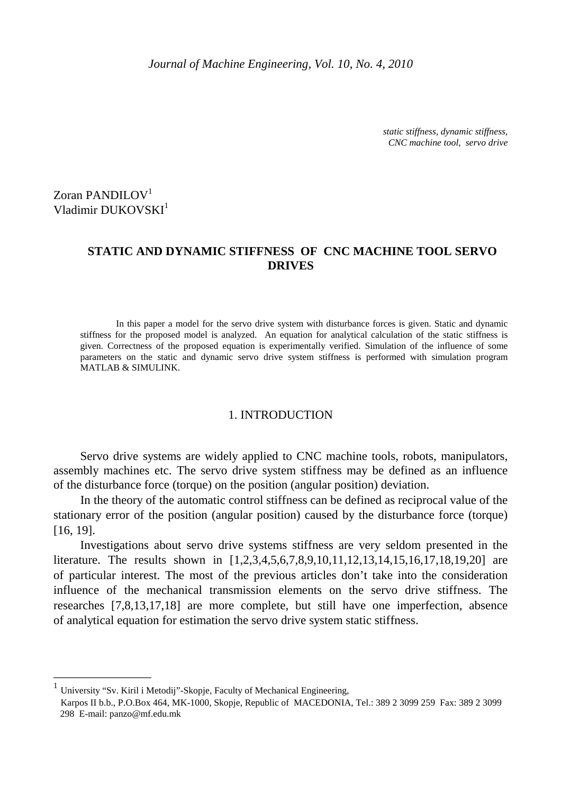*static stiffness, dynamic stiffness, CNC machine tool, servo drive*

Zoran PANDILOV<sup>1</sup> Vladimir DUKOVSKI<sup>1</sup>

# **STATIC AND DYNAMIC STIFFNESS OF CNC MACHINE TOOL SERVO DRIVES**

 In this paper a model for the servo drive system with disturbance forces is given. Static and dynamic stiffness for the proposed model is analyzed. An equation for analytical calculation of the static stiffness is given. Correctness of the proposed equation is experimentally verified. Simulation of the influence of some parameters on the static and dynamic servo drive system stiffness is performed with simulation program MATLAB & SIMULINK.

#### 1. INTRODUCTION

Servo drive systems are widely applied to CNC machine tools, robots, manipulators, assembly machines etc. The servo drive system stiffness may be defined as an influence of the disturbance force (torque) on the position (angular position) deviation.

In the theory of the automatic control stiffness can be defined as reciprocal value of the stationary error of the position (angular position) caused by the disturbance force (torque) [16, 19].

Investigations about servo drive systems stiffness are very seldom presented in the literature. The results shown in [1,2,3,4,5,6,7,8,9,10,11,12,13,14,15,16,17,18,19,20] are of particular interest. The most of the previous articles don't take into the consideration influence of the mechanical transmission elements on the servo drive stiffness. The researches [7,8,13,17,18] are more complete, but still have one imperfection, absence of analytical equation for estimation the servo drive system static stiffness.

\_\_\_\_\_\_\_\_\_\_\_\_\_\_\_\_

<sup>1</sup> University "Sv. Kiril i Metodij"-Skopje, Faculty of Mechanical Engineering,

Karpos II b.b., P.O.Box 464, MK-1000, Skopje, Republic of MACEDONIA, Tel.: 389 2 3099 259 Fax: 389 2 3099 298 E-mail: panzo@mf.edu.mk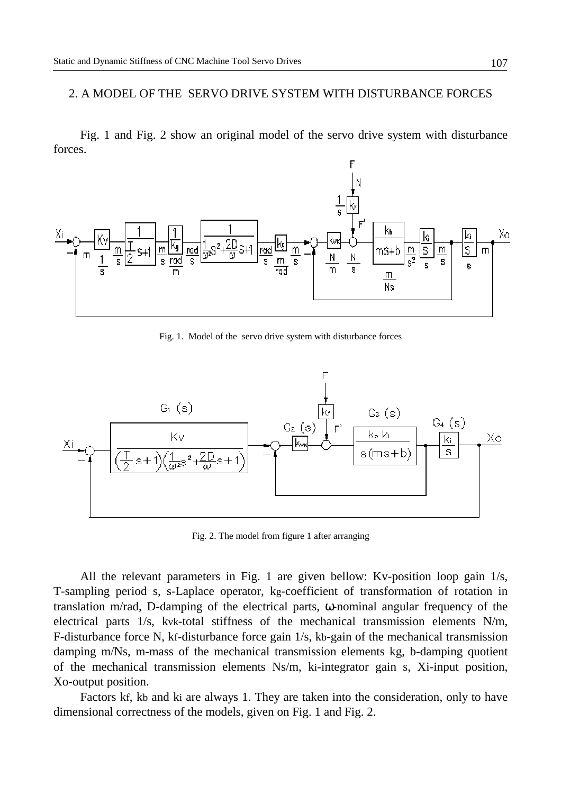#### 2. A MODEL OF THE SERVO DRIVE SYSTEM WITH DISTURBANCE FORCES

Fig. 1 and Fig. 2 show an original model of the servo drive system with disturbance forces.



Fig. 1. Model of the servo drive system with disturbance forces



Fig. 2. The model from figure 1 after arranging

All the relevant parameters in Fig. 1 are given bellow: Kv-position loop gain 1/s, T-sampling period s, s-Laplace operator, kg-coefficient of transformation of rotation in translation m/rad, D-damping of the electrical parts, ω-nominal angular frequency of the electrical parts 1/s, kvk-total stiffness of the mechanical transmission elements N/m, F-disturbance force N, kf-disturbance force gain 1/s, kb-gain of the mechanical transmission damping m/Ns, m-mass of the mechanical transmission elements kg, b-damping quotient of the mechanical transmission elements Ns/m, ki-integrator gain s, Xi-input position, Xo-output position.

Factors kf, kb and ki are always 1. They are taken into the consideration, only to have dimensional correctness of the models, given on Fig. 1 and Fig. 2.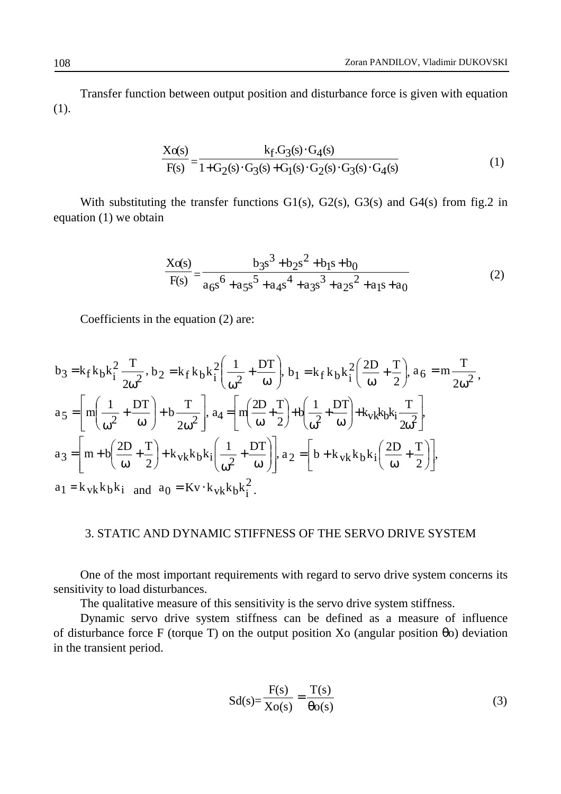Transfer function between output position and disturbance force is given with equation (1).

$$
\frac{Xo(s)}{F(s)} = \frac{k_f.G_3(s) \cdot G_4(s)}{1 + G_2(s) \cdot G_3(s) + G_1(s) \cdot G_2(s) \cdot G_3(s) \cdot G_4(s)}
$$
(1)

With substituting the transfer functions G1(s), G2(s), G3(s) and G4(s) from fig.2 in equation (1) we obtain

$$
\frac{Xo(s)}{F(s)} = \frac{b_3s^3 + b_2s^2 + b_1s + b_0}{a_6s^6 + a_5s^5 + a_4s^4 + a_3s^3 + a_2s^2 + a_1s + a_0}
$$
(2)

Coefficients in the equation (2) are:

$$
b_3 = k_f k_b k_i^2 \frac{T}{2\omega^2}, b_2 = k_f k_b k_i^2 \left(\frac{1}{\omega^2} + \frac{DT}{\omega}\right), b_1 = k_f k_b k_i^2 \left(\frac{2D}{\omega} + \frac{T}{2}\right), a_6 = m \frac{T}{2\omega^2},
$$
  
\n
$$
a_5 = \left[m\left(\frac{1}{\omega^2} + \frac{DT}{\omega}\right) + b\frac{T}{2\omega^2}\right], a_4 = \left[m\left(\frac{2D}{\omega} + \frac{T}{2}\right) + b\left(\frac{1}{\omega^2} + \frac{DT}{\omega}\right) + k_{vk} k_b k_i \frac{T}{2\omega^2}\right],
$$
  
\n
$$
a_3 = \left[m + b\left(\frac{2D}{\omega} + \frac{T}{2}\right) + k_{vk} k_b k_i \left(\frac{1}{\omega^2} + \frac{DT}{\omega}\right)\right], a_2 = \left[b + k_{vk} k_b k_i \left(\frac{2D}{\omega} + \frac{T}{2}\right)\right],
$$
  
\n
$$
a_1 = k_{vk} k_b k_i \text{ and } a_0 = Kv \cdot k_{vk} k_b k_i^2.
$$

### 3. STATIC AND DYNAMIC STIFFNESS OF THE SERVO DRIVE SYSTEM

One of the most important requirements with regard to servo drive system concerns its sensitivity to load disturbances.

The qualitative measure of this sensitivity is the servo drive system stiffness.

 Dynamic servo drive system stiffness can be defined as a measure of influence of disturbance force F (torque T) on the output position Xo (angular position θo) deviation in the transient period.

$$
Sd(s) = \frac{F(s)}{Xo(s)} = \frac{T(s)}{\theta o(s)}
$$
(3)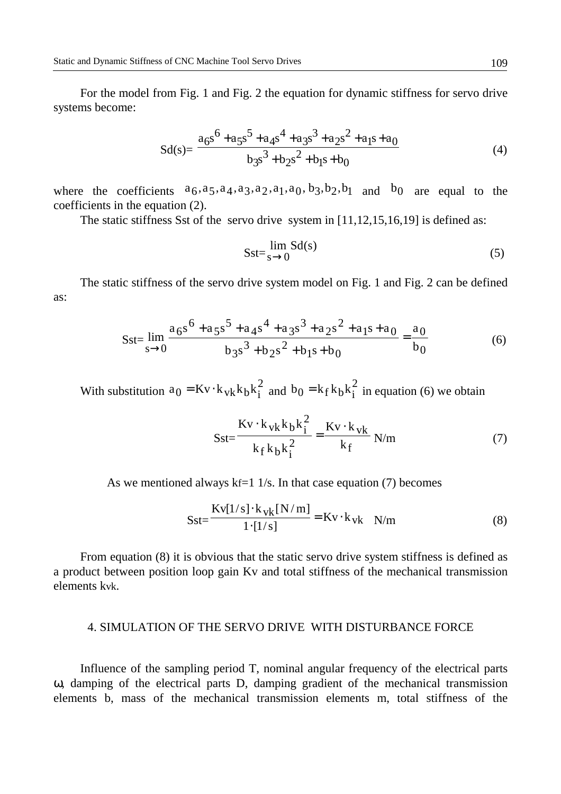For the model from Fig. 1 and Fig. 2 the equation for dynamic stiffness for servo drive systems become:

$$
Sd(s) = \frac{a_6s^6 + a_5s^5 + a_4s^4 + a_3s^3 + a_2s^2 + a_1s + a_0}{b_3s^3 + b_2s^2 + b_1s + b_0}
$$
\n<sup>(4)</sup>

where the coefficients  $a_6$ ,  $a_5$ ,  $a_4$ ,  $a_3$ ,  $a_2$ ,  $a_1$ ,  $a_0$ ,  $b_3$ ,  $b_2$ ,  $b_1$  and  $b_0$  are equal to the coefficients in the equation (2).

The static stiffness Sst of the servo drive system in [11,12,15,16,19] is defined as:

$$
Sst = \lim_{s \to 0} Sd(s) \tag{5}
$$

 The static stiffness of the servo drive system model on Fig. 1 and Fig. 2 can be defined as:

$$
Sst = \lim_{s \to 0} \frac{a_6 s^6 + a_5 s^5 + a_4 s^4 + a_3 s^3 + a_2 s^2 + a_1 s + a_0}{b_3 s^3 + b_2 s^2 + b_1 s + b_0} = \frac{a_0}{b_0}
$$
(6)

With substitution  $a_0 = Kv \cdot k_{vk} k_b k_i^2$  and  $b_0 = k_f k_b k_i^2$  in equation (6) we obtain

$$
Sst = \frac{Kv \cdot k_{vk}k_b k_i^2}{k_f k_b k_i^2} = \frac{Kv \cdot k_{vk}}{k_f} N/m
$$
 (7)

As we mentioned always  $kf=1/s$ . In that case equation (7) becomes

$$
Sst = \frac{Kv[1/s] \cdot k_{vk}[N/m]}{1 \cdot [1/s]} = Kv \cdot k_{vk} \quad N/m
$$
 (8)

 From equation (8) it is obvious that the static servo drive system stiffness is defined as a product between position loop gain Kv and total stiffness of the mechanical transmission elements kvk.

#### 4. SIMULATION OF THE SERVO DRIVE WITH DISTURBANCE FORCE

Influence of the sampling period T, nominal angular frequency of the electrical parts ω, damping of the electrical parts D, damping gradient of the mechanical transmission elements b, mass of the mechanical transmission elements m, total stiffness of the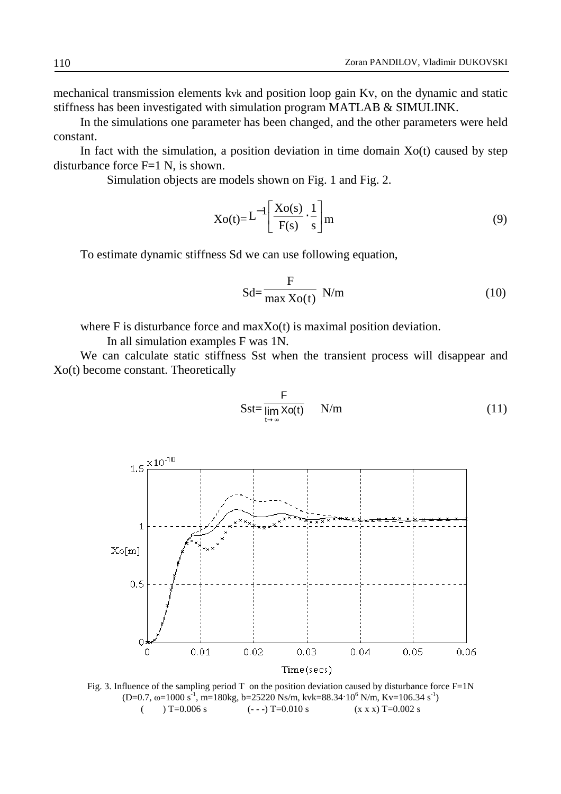mechanical transmission elements kvk and position loop gain Kv, on the dynamic and static stiffness has been investigated with simulation program MATLAB & SIMULINK.

 In the simulations one parameter has been changed, and the other parameters were held constant.

In fact with the simulation, a position deviation in time domain  $Xo(t)$  caused by step disturbance force F=1 N, is shown.

Simulation objects are models shown on Fig. 1 and Fig. 2.

$$
Xo(t)=L^{-1}\left[\frac{Xo(s)}{F(s)}\cdot\frac{1}{s}\right]m
$$
\n(9)

To estimate dynamic stiffness Sd we can use following equation,

$$
Sd = \frac{F}{\max Xo(t)} N/m
$$
 (10)

where F is disturbance force and maxXo(t) is maximal position deviation.

In all simulation examples F was 1N.

 We can calculate static stiffness Sst when the transient process will disappear and Xo(t) become constant. Theoretically



Fig. 3. Influence of the sampling period T on the position deviation caused by disturbance force  $F=1N$  $(D=0.7, \omega=1000 \text{ s}^{-1}, \text{m}=180 \text{kg}, \text{b}=25220 \text{Ns/m}, \text{kv} =88.34 \cdot 10^6 \text{N/m}, \text{Kv}=106.34 \text{ s}^{-1})$  $(-\rightarrow) T=0.006$  s  $(-\rightarrow) T=0.010$  s  $(x x x) T=0.002$  s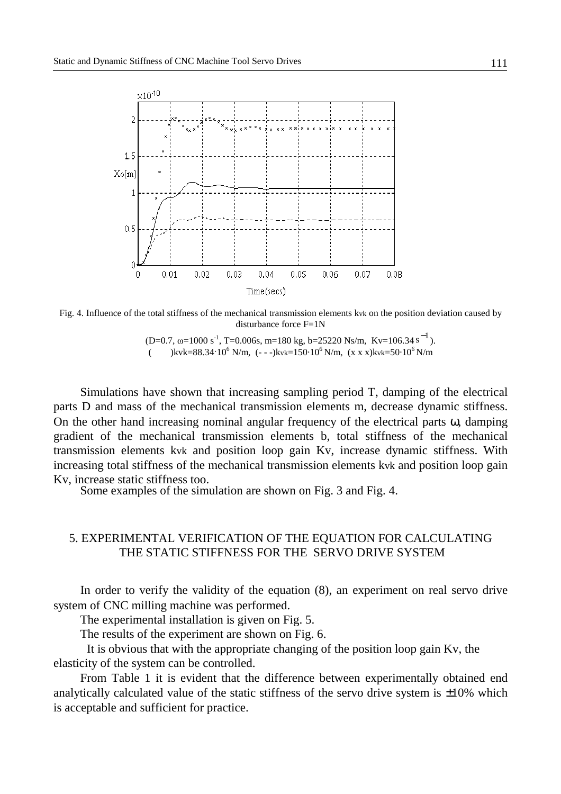

Fig. 4. Influence of the total stiffness of the mechanical transmission elements kvk on the position deviation caused by disturbance force F=1N

 $(D=0.7, \omega=1000 \text{ s}^{-1}, T=0.006 \text{s}, m=180 \text{ kg}, b=25220 \text{ Ns/m}, Kv=106.34 \text{ s}^{-1}).$ (——)kvk=88.34·10<sup>6</sup> N/m, (---)kvk=150·10<sup>6</sup> N/m, (x x x)kvk=50·10<sup>6</sup> N/m

Simulations have shown that increasing sampling period T, damping of the electrical parts D and mass of the mechanical transmission elements m, decrease dynamic stiffness. On the other hand increasing nominal angular frequency of the electrical parts ω, damping gradient of the mechanical transmission elements b, total stiffness of the mechanical transmission elements kvk and position loop gain Kv, increase dynamic stiffness. With increasing total stiffness of the mechanical transmission elements kvk and position loop gain Kv, increase static stiffness too.

Some examples of the simulation are shown on Fig. 3 and Fig. 4.

## 5. EXPERIMENTAL VERIFICATION OF THE EQUATION FOR CALCULATING THE STATIC STIFFNESS FOR THE SERVO DRIVE SYSTEM

In order to verify the validity of the equation (8), an experiment on real servo drive system of CNC milling machine was performed.

The experimental installation is given on Fig. 5.

The results of the experiment are shown on Fig. 6.

It is obvious that with the appropriate changing of the position loop gain Kv, the elasticity of the system can be controlled.

From Table 1 it is evident that the difference between experimentally obtained end analytically calculated value of the static stiffness of the servo drive system is  $\pm 10\%$  which is acceptable and sufficient for practice.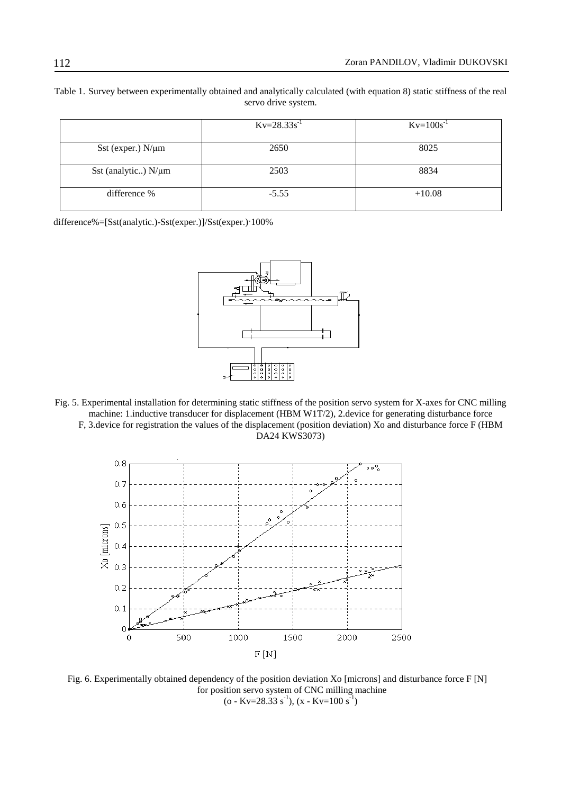| Table 1. Survey between experimentally obtained and analytically calculated (with equation 8) static stiffness of the real |
|----------------------------------------------------------------------------------------------------------------------------|
| servo drive system.                                                                                                        |

|                          | $Kv=28.33s^{-1}$ | $Kv=100s^{-1}$ |
|--------------------------|------------------|----------------|
| Sst (exper.) $N/\mu m$   | 2650             | 8025           |
| Sst (analytic) $N/\mu m$ | 2503             | 8834           |
| difference %             | $-5.55$          | $+10.08$       |

difference%=[Sst(analytic.)-Sst(exper.)]/Sst(exper.)·100%



Fig. 5. Experimental installation for determining static stiffness of the position servo system for X-axes for CNC milling machine: 1.inductive transducer for displacement (HBM W1T/2), 2.device for generating disturbance force F, 3.device for registration the values of the displacement (position deviation) Xo and disturbance force F (HBM DA24 KWS3073)



Fig. 6. Experimentally obtained dependency of the position deviation Xo [microns] and disturbance force F [N] for position servo system of CNC milling machine (o - Kv=28.33 s<sup>-1</sup>), (x - Kv=100 s<sup>-1</sup>)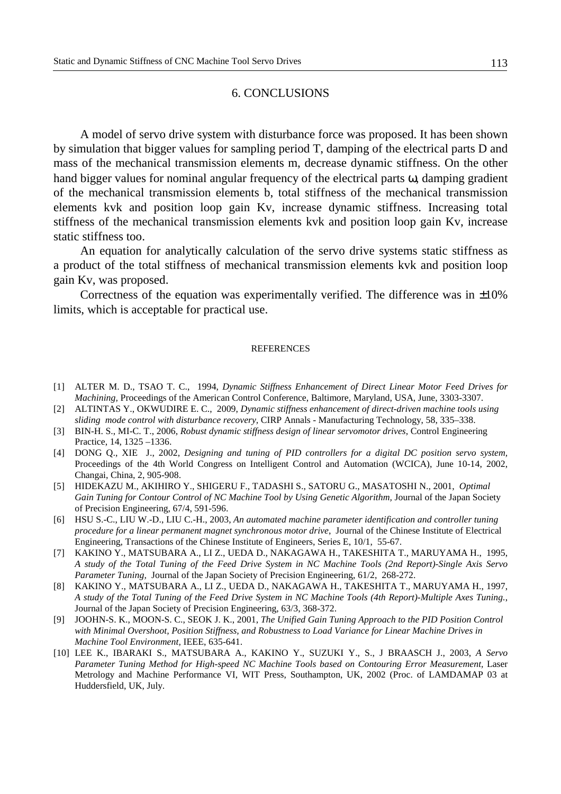#### 6. CONCLUSIONS

A model of servo drive system with disturbance force was proposed. It has been shown by simulation that bigger values for sampling period T, damping of the electrical parts D and mass of the mechanical transmission elements m, decrease dynamic stiffness. On the other hand bigger values for nominal angular frequency of the electrical parts ω, damping gradient of the mechanical transmission elements b, total stiffness of the mechanical transmission elements kvk and position loop gain Kv, increase dynamic stiffness. Increasing total stiffness of the mechanical transmission elements kvk and position loop gain Kv, increase static stiffness too.

An equation for analytically calculation of the servo drive systems static stiffness as a product of the total stiffness of mechanical transmission elements kvk and position loop gain Kv, was proposed.

Correctness of the equation was experimentally verified. The difference was in  $\pm 10\%$ limits, which is acceptable for practical use.

#### REFERENCES

- [1] ALTER M. D., TSAO T. C., 1994, *Dynamic Stiffness Enhancement of Direct Linear Motor Feed Drives for Machining,* Proceedings of the American Control Conference, Baltimore, Maryland, USA, June, 3303-3307.
- [2] ALTINTAS Y., OKWUDIRE E. C., 2009, *Dynamic stiffness enhancement of direct-driven machine tools using sliding mode control with disturbance recovery,* CIRP Annals - Manufacturing Technology, 58, 335–338.
- [3] BIN-H. S., MI-C. T., 2006, *Robust dynamic stiffness design of linear servomotor drives*, Control Engineering Practice, 14, 1325 –1336.
- [4] DONG Q., XIE J., 2002, *Designing and tuning of PID controllers for a digital DC position servo system,* Proceedings of the 4th World Congress on Intelligent Control and Automation (WCICA), June 10-14, 2002, Changai, China, 2, 905-908.
- [5] HIDEKAZU M., AKIHIRO Y., SHIGERU F., TADASHI S., SATORU G., MASATOSHI N., 2001, *Optimal Gain Tuning for Contour Control of NC Machine Tool by Using Genetic Algorithm, Journal of the Japan Society* of Precision Engineering, 67/4, 591-596.
- [6] HSU S.-C., LIU W.-D., LIU C.-H., 2003, *An automated machine parameter identification and controller tuning procedure for a linear permanent magnet synchronous motor drive*, Journal of the Chinese Institute of Electrical Engineering, Transactions of the Chinese Institute of Engineers, Series E, 10/1, 55-67.
- [7] KAKINO Y., MATSUBARA A., LI Z., UEDA D., NAKAGAWA H., TAKESHITA T., MARUYAMA H., 1995, *A study of the Total Tuning of the Feed Drive System in NC Machine Tools (2nd Report)-Single Axis Servo Parameter Tuning,* Journal of the Japan Society of Precision Engineering, 61/2, 268-272.
- [8] KAKINO Y., MATSUBARA A., LI Z., UEDA D., NAKAGAWA H., TAKESHITA T., MARUYAMA H., 1997, *A study of the Total Tuning of the Feed Drive System in NC Machine Tools (4th Report)-Multiple Axes Tuning.*, Journal of the Japan Society of Precision Engineering, 63/3, 368-372.
- [9] JOOHN-S. K., MOON-S. C., SEOK J. K., 2001, *The Unified Gain Tuning Approach to the PID Position Control with Minimal Overshoot, Position Stiffness, and Robustness to Load Variance for Linear Machine Drives in Machine Tool Environment,* IEEE, 635-641.
- [10] LEE K., IBARAKI S., MATSUBARA A., KAKINO Y., SUZUKI Y., S., J BRAASCH J., 2003, *A Servo Parameter Tuning Method for High-speed NC Machine Tools based on Contouring Error Measurement,* Laser Metrology and Machine Performance VI, WIT Press, Southampton, UK, 2002 (Proc. of LAMDAMAP 03 at Huddersfield, UK, July.